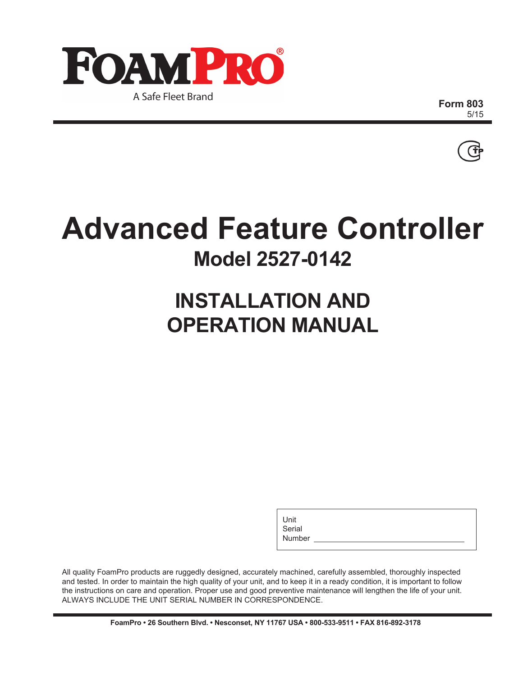

**Form 803** 5/15



### **Advanced Feature Controller Model 2527-0142**

### **INSTALLATION AND OPERATION MANUAL**

Unit Serial

Number

All quality FoamPro products are ruggedly designed, accurately machined, carefully assembled, thoroughly inspected and tested. In order to maintain the high quality of your unit, and to keep it in a ready condition, it is important to follow the instructions on care and operation. Proper use and good preventive maintenance will lengthen the life of your unit. ALWAYS INCLUDE THE UNIT SERIAL NUMBER IN CORRESPONDENCE.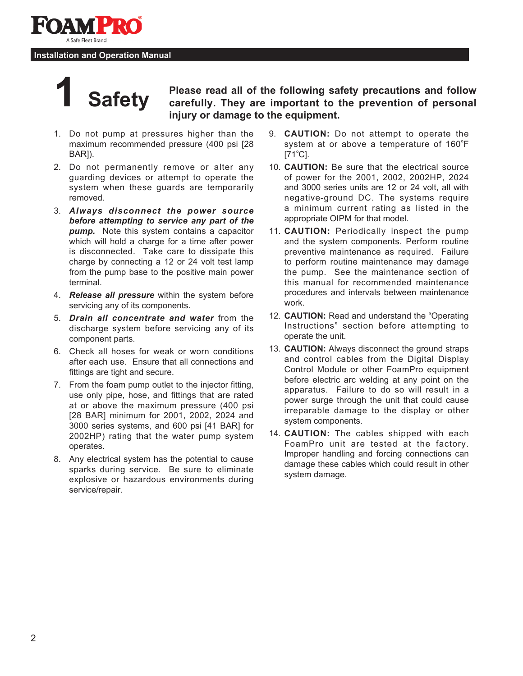

**1 Safety** Please read all of the following safety precautions and follow carefully. They are important to the prevention of personal injury or damage to the equipment **carefully. They are important to the prevention of personal injury or damage to the equipment.**

- 1. Do not pump at pressures higher than the maximum recommended pressure (400 psi [28 BAR]).
- 2. Do not permanently remove or alter any guarding devices or attempt to operate the system when these guards are temporarily removed.
- 3. *Always disconnect the power source before attempting to service any part of the pump.* Note this system contains a capacitor which will hold a charge for a time after power is disconnected. Take care to dissipate this charge by connecting a 12 or 24 volt test lamp from the pump base to the positive main power terminal.
- 4. *Release all pressure* within the system before servicing any of its components.
- 5. *Drain all concentrate and water* from the discharge system before servicing any of its component parts.
- 6. Check all hoses for weak or worn conditions after each use. Ensure that all connections and fittings are tight and secure.
- 7. From the foam pump outlet to the injector fitting, use only pipe, hose, and fittings that are rated at or above the maximum pressure (400 psi [28 BAR] minimum for 2001, 2002, 2024 and 3000 series systems, and 600 psi [41 BAR] for 2002HP) rating that the water pump system operates.
- 8. Any electrical system has the potential to cause sparks during service. Be sure to eliminate explosive or hazardous environments during service/repair.
- 9. **CAUTION:** Do not attempt to operate the system at or above a temperature of  $160^{\circ}$ F [71°C].
- 10. **CAUTION:** Be sure that the electrical source of power for the 2001, 2002, 2002HP, 2024 and 3000 series units are 12 or 24 volt, all with negative-ground DC. The systems require a minimum current rating as listed in the appropriate OIPM for that model.
- 11. **CAUTION:** Periodically inspect the pump and the system components. Perform routine preventive maintenance as required. Failure to perform routine maintenance may damage the pump. See the maintenance section of this manual for recommended maintenance procedures and intervals between maintenance work.
- 12. **CAUTION:** Read and understand the "Operating Instructions" section before attempting to operate the unit.
- 13. **CAUTION:** Always disconnect the ground straps and control cables from the Digital Display Control Module or other FoamPro equipment before electric arc welding at any point on the apparatus. Failure to do so will result in a power surge through the unit that could cause irreparable damage to the display or other system components.
- 14. **CAUTION:** The cables shipped with each FoamPro unit are tested at the factory. Improper handling and forcing connections can damage these cables which could result in other system damage.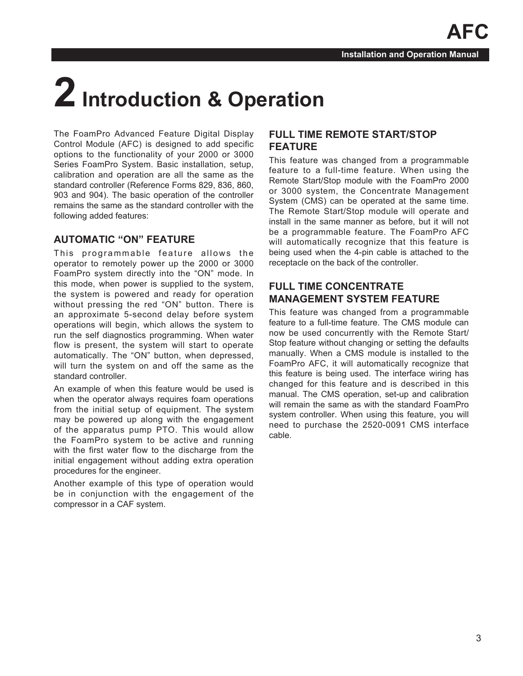# **2 Introduction & Operation**

The FoamPro Advanced Feature Digital Display Control Module (AFC) is designed to add specific options to the functionality of your 2000 or 3000 Series FoamPro System. Basic installation, setup, calibration and operation are all the same as the standard controller (Reference Forms 829, 836, 860, 903 and 904). The basic operation of the controller remains the same as the standard controller with the following added features:

#### **AUTOMATIC "ON" FEATURE**

This programmable feature allows the operator to remotely power up the 2000 or 3000 FoamPro system directly into the "ON" mode. In this mode, when power is supplied to the system, the system is powered and ready for operation without pressing the red "ON" button. There is an approximate 5-second delay before system operations will begin, which allows the system to run the self diagnostics programming. When water flow is present, the system will start to operate automatically. The "ON" button, when depressed, will turn the system on and off the same as the standard controller.

An example of when this feature would be used is when the operator always requires foam operations from the initial setup of equipment. The system may be powered up along with the engagement of the apparatus pump PTO. This would allow the FoamPro system to be active and running with the first water flow to the discharge from the initial engagement without adding extra operation procedures for the engineer.

Another example of this type of operation would be in conjunction with the engagement of the compressor in a CAF system.

#### **FULL TIME REMOTE START/STOP FEATURE**

This feature was changed from a programmable feature to a full-time feature. When using the Remote Start/Stop module with the FoamPro 2000 or 3000 system, the Concentrate Management System (CMS) can be operated at the same time. The Remote Start/Stop module will operate and install in the same manner as before, but it will not be a programmable feature. The FoamPro AFC will automatically recognize that this feature is being used when the 4-pin cable is attached to the receptacle on the back of the controller.

#### **FULL TIME CONCENTRATE MANAGEMENT SYSTEM FEATURE**

This feature was changed from a programmable feature to a full-time feature. The CMS module can now be used concurrently with the Remote Start/ Stop feature without changing or setting the defaults manually. When a CMS module is installed to the FoamPro AFC, it will automatically recognize that this feature is being used. The interface wiring has changed for this feature and is described in this manual. The CMS operation, set-up and calibration will remain the same as with the standard FoamPro system controller. When using this feature, you will need to purchase the 2520-0091 CMS interface cable.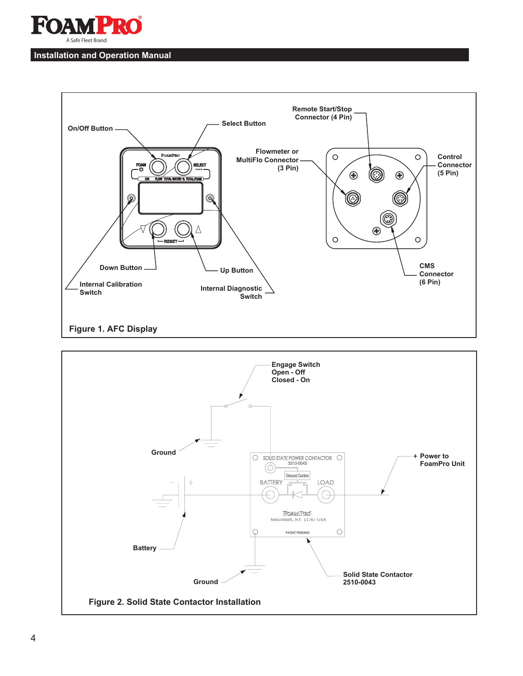



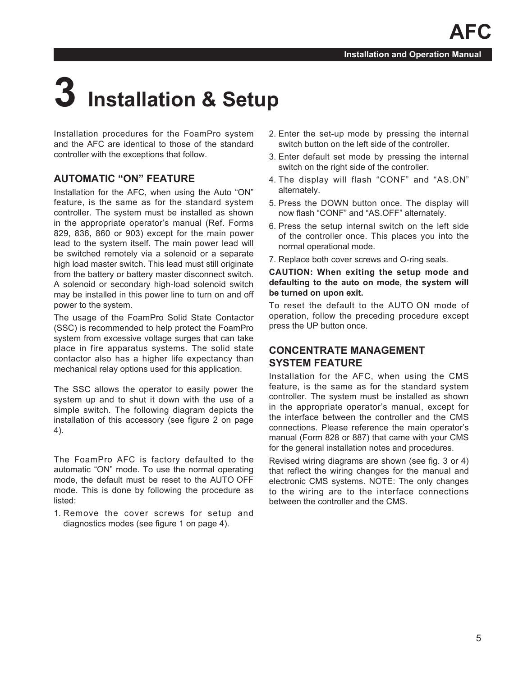# **3 Installation & Setup**

Installation procedures for the FoamPro system and the AFC are identical to those of the standard controller with the exceptions that follow.

#### **AUTOMATIC "ON" FEATURE**

Installation for the AFC, when using the Auto "ON" feature, is the same as for the standard system controller. The system must be installed as shown in the appropriate operator's manual (Ref. Forms 829, 836, 860 or 903) except for the main power lead to the system itself. The main power lead will be switched remotely via a solenoid or a separate high load master switch. This lead must still originate from the battery or battery master disconnect switch. A solenoid or secondary high-load solenoid switch may be installed in this power line to turn on and off power to the system.

The usage of the FoamPro Solid State Contactor (SSC) is recommended to help protect the FoamPro system from excessive voltage surges that can take place in fire apparatus systems. The solid state contactor also has a higher life expectancy than mechanical relay options used for this application.

The SSC allows the operator to easily power the system up and to shut it down with the use of a simple switch. The following diagram depicts the installation of this accessory (see figure 2 on page 4).

The FoamPro AFC is factory defaulted to the automatic "ON" mode. To use the normal operating mode, the default must be reset to the AUTO OFF mode. This is done by following the procedure as listed:

1. Remove the cover screws for setup and diagnostics modes (see figure 1 on page 4).

- 2. Enter the set-up mode by pressing the internal switch button on the left side of the controller.
- 3. Enter default set mode by pressing the internal switch on the right side of the controller.
- 4. The display will flash "CONF" and "AS.ON" alternately.
- 5. Press the DOWN button once. The display will now flash "CONF" and "AS.OFF" alternately.
- 6. Press the setup internal switch on the left side of the controller once. This places you into the normal operational mode.
- 7. Replace both cover screws and O-ring seals.

#### **CAUTION: When exiting the setup mode and defaulting to the auto on mode, the system will be turned on upon exit.**

To reset the default to the AUTO ON mode of operation, follow the preceding procedure except press the UP button once.

#### **CONCENTRATE MANAGEMENT SYSTEM FEATURE**

Installation for the AFC, when using the CMS feature, is the same as for the standard system controller. The system must be installed as shown in the appropriate operator's manual, except for the interface between the controller and the CMS connections. Please reference the main operator's manual (Form 828 or 887) that came with your CMS for the general installation notes and procedures.

Revised wiring diagrams are shown (see fig. 3 or 4) that reflect the wiring changes for the manual and electronic CMS systems. NOTE: The only changes to the wiring are to the interface connections between the controller and the CMS.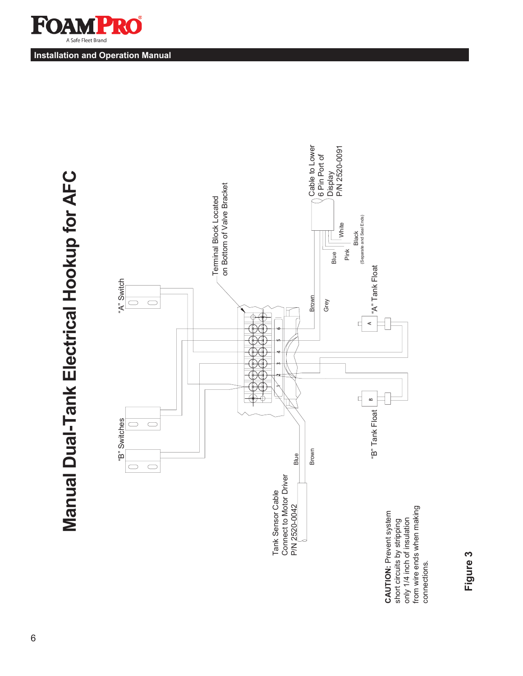



Manual Dual-Tank Electrical Hookup for AFC **Manual Dual-Tank Electrical Hookup for AFC**

**Figure 3**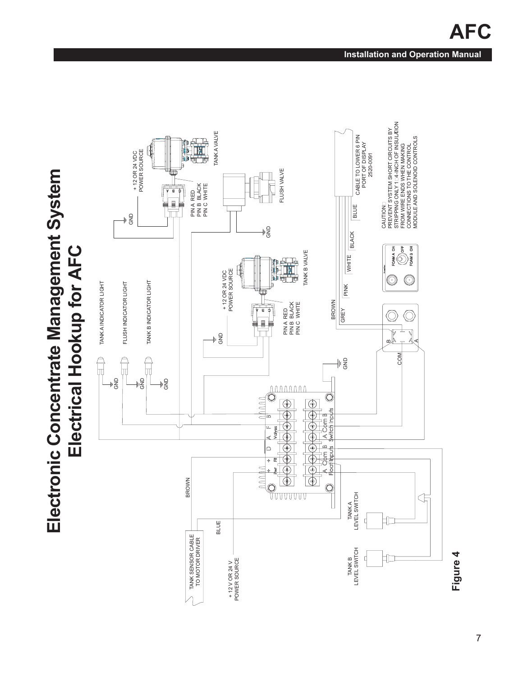